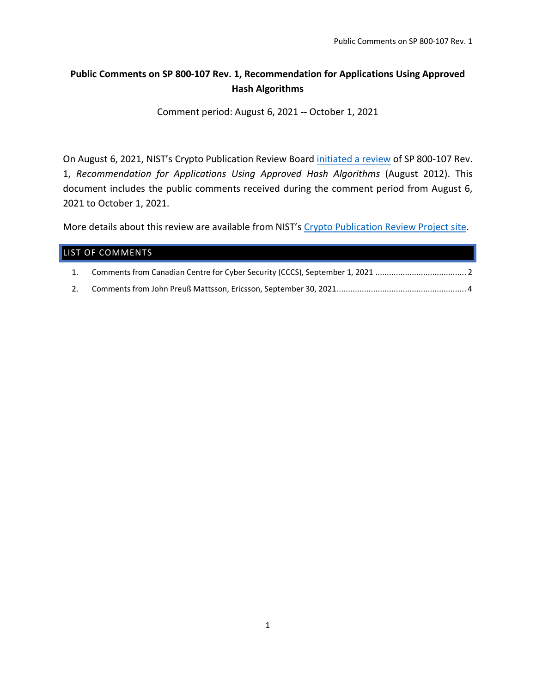## **Public Comments on SP 800-107 Rev. 1, Recommendation for Applications Using Approved Hash Algorithms**

Comment period: August 6, 2021 -- October 1, 2021

On August 6, 2021, NIST's Crypto Publication Review Board [initiated a review](https://csrc.nist.gov/news/2021/call-for-comments-fips-198-1-hash-pubs-and-others) of SP 800-107 Rev. 1, *Recommendation for Applications Using Approved Hash Algorithms* (August 2012). This document includes the public comments received during the comment period from August 6, 2021 to October 1, 2021.

More details about this review are available from NIST's [Crypto Publication Review Project site.](https://csrc.nist.gov/Projects/crypto-publication-review-project)

### LIST OF COMMENTS

- 1. [Comments from Canadian Centre for Cyber Security \(CCCS\), September 1, 2021](#page-1-0) ........................................ 2
- 2. [Comments from John Preuß Mattsson, Ericsson, September 30, 2021.........................................................](#page-3-0) 4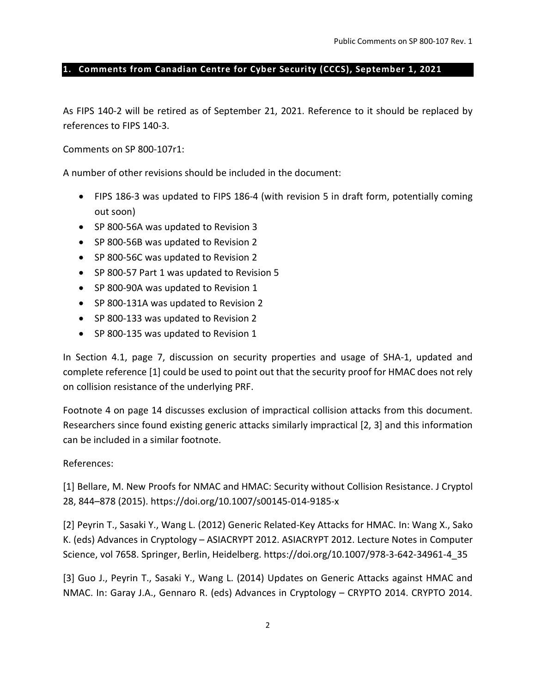#### <span id="page-1-0"></span>**1. Comments from Canadian Centre for Cyber Security (CCCS), September 1, 2021**

As FIPS 140-2 will be retired as of September 21, 2021. Reference to it should be replaced by references to FIPS 140-3.

Comments on SP 800-107r1:

A number of other revisions should be included in the document:

- FIPS 186-3 was updated to FIPS 186-4 (with revision 5 in draft form, potentially coming out soon)
- SP 800-56A was updated to Revision 3
- SP 800-56B was updated to Revision 2
- SP 800-56C was updated to Revision 2
- SP 800-57 Part 1 was updated to Revision 5
- SP 800-90A was updated to Revision 1
- SP 800-131A was updated to Revision 2
- SP 800-133 was updated to Revision 2
- SP 800-135 was updated to Revision 1

In Section 4.1, page 7, discussion on security properties and usage of SHA-1, updated and complete reference [1] could be used to point out that the security proof for HMAC does not rely on collision resistance of the underlying PRF.

Footnote 4 on page 14 discusses exclusion of impractical collision attacks from this document. Researchers since found existing generic attacks similarly impractical [2, 3] and this information can be included in a similar footnote.

References:

[1] Bellare, M. New Proofs for NMAC and HMAC: Security without Collision Resistance. J Cryptol 28, 844–878 (2015). https://doi.org/10.1007/s00145-014-9185-x

[2] Peyrin T., Sasaki Y., Wang L. (2012) Generic Related-Key Attacks for HMAC. In: Wang X., Sako K. (eds) Advances in Cryptology – ASIACRYPT 2012. ASIACRYPT 2012. Lecture Notes in Computer Science, vol 7658. Springer, Berlin, Heidelberg. https://doi.org/10.1007/978-3-642-34961-4\_35

[3] Guo J., Peyrin T., Sasaki Y., Wang L. (2014) Updates on Generic Attacks against HMAC and NMAC. In: Garay J.A., Gennaro R. (eds) Advances in Cryptology – CRYPTO 2014. CRYPTO 2014.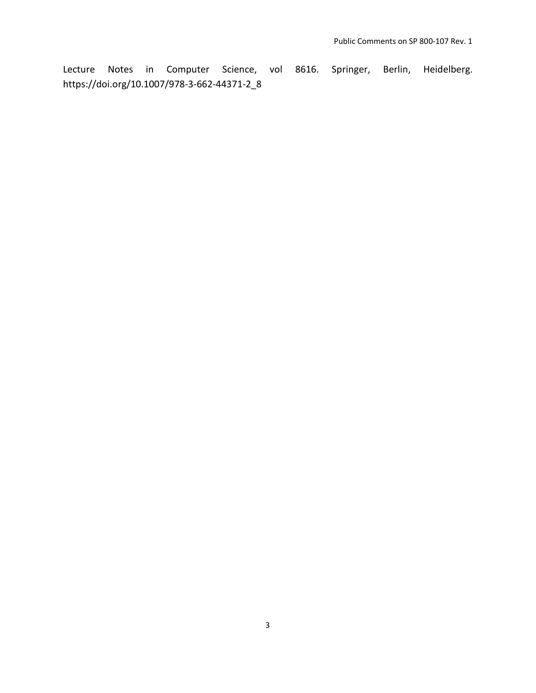Lecture Notes in Computer Science, vol 8616. Springer, Berlin, Heidelberg. https://doi.org/10.1007/978-3-662-44371-2\_8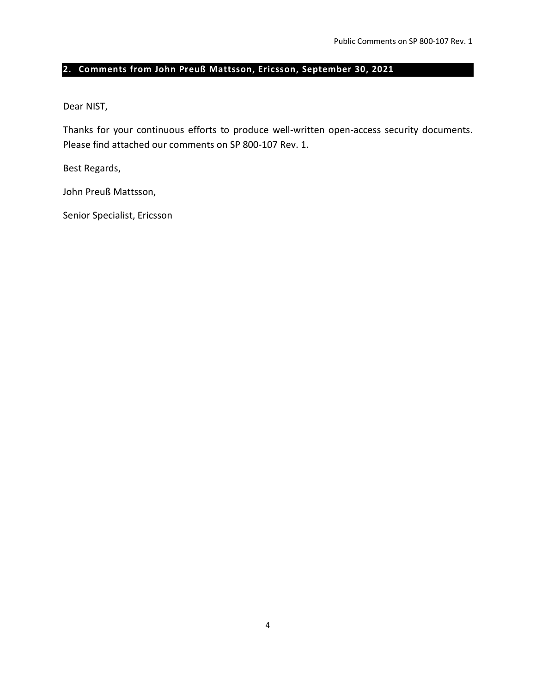## <span id="page-3-0"></span>**2. Comments from John Preuß Mattsson, Ericsson, September 30, 2021**

Dear NIST,

Thanks for your continuous efforts to produce well-written open-access security documents. Please find attached our comments on SP 800-107 Rev. 1.

Best Regards,

John Preuß Mattsson,

Senior Specialist, Ericsson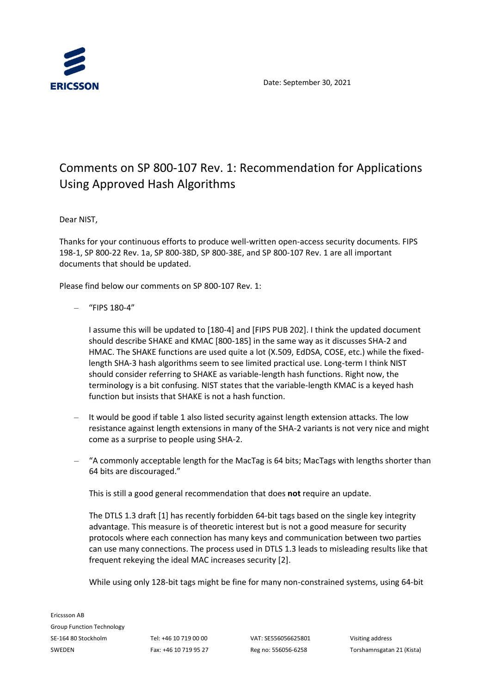

Date: September 30, 2021

# Comments on SP 800-107 Rev. 1: Recommendation for Applications Using Approved Hash Algorithms

Dear NIST,

Thanks for your continuous efforts to produce well-written open-access security documents. FIPS 198-1, SP 800-22 Rev. 1a, SP 800-38D, SP 800-38E, and SP 800-107 Rev. 1 are all important documents that should be updated.

Please find below our comments on SP 800-107 Rev. 1:

– "FIPS 180-4"

I assume this will be updated to [180-4] and [FIPS PUB 202]. I think the updated document should describe SHAKE and KMAC [800-185] in the same way as it discusses SHA-2 and HMAC. The SHAKE functions are used quite a lot (X.509, EdDSA, COSE, etc.) while the fixedlength SHA-3 hash algorithms seem to see limited practical use. Long-term I think NIST should consider referring to SHAKE as variable-length hash functions. Right now, the terminology is a bit confusing. NIST states that the variable-length KMAC is a keyed hash function but insists that SHAKE is not a hash function.

- It would be good if table 1 also listed security against length extension attacks. The low resistance against length extensions in many of the SHA-2 variants is not very nice and might come as a surprise to people using SHA-2.
- "A commonly acceptable length for the MacTag is 64 bits; MacTags with lengths shorter than 64 bits are discouraged."

This is still a good general recommendation that does **not** require an update.

The DTLS 1.3 draft [1] has recently forbidden 64-bit tags based on the single key integrity advantage. This measure is of theoretic interest but is not a good measure for security protocols where each connection has many keys and communication between two parties can use many connections. The process used in DTLS 1.3 leads to misleading results like that frequent rekeying the ideal MAC increases security [2].

While using only 128-bit tags might be fine for many non-constrained systems, using 64-bit

Ericssson AB Group Function Technology SE-164 80 Stockholm Tel: +46 10 719 00 00 VAT: SE556056625801 Visiting address SWEDEN Fax: +46 10 719 95 27 Reg no: 556056-6258 Torshamnsgatan 21 (Kista)